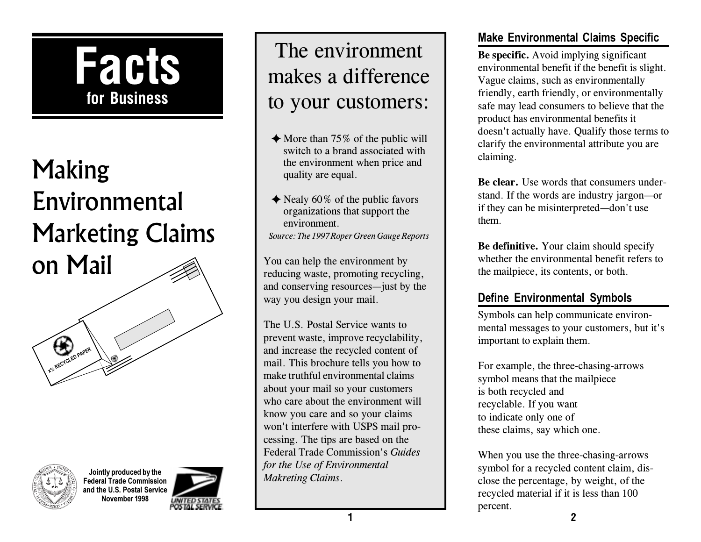

# Making Environmental Marketing Claims on Mail





**Jointly produced by the Federal Trade Commission and the U.S. Postal Service November 1998**



# The environment makes a difference to your customers:

- $\triangle$  More than 75% of the public will switch to a brand associated with the environment when price and quality are equal.
- $\triangle$  Nealy 60% of the public favors organizations that support the environment. *Source: The 1997 Roper Green Gauge Reports*

You can help the environment by reducing waste, promoting recycling, and conserving resources—just by the way you design your mail.

The U.S. Postal Service wants to prevent waste, improve recyclability, and increase the recycled content of mail. This brochure tells you how to make truthful environmental claims about your mail so your customers who care about the environment will know you care and so your claims won't interfere with USPS mail processing. The tips are based on the Federal Trade Commission's *Guides for the Use of Environmental Makreting Claims*.

# **Make Environmental Claims Specific**

**Be specific.** Avoid implying significant environmental benefit if the benefit is slight. Vague claims, such as environmentally friendly, earth friendly, or environmentally safe may lead consumers to believe that the product has environmental benefits it doesn't actually have. Qualify those terms to clarify the environmental attribute you are claiming.

**Be clear.** Use words that consumers understand. If the words are industry jargon-or if they can be misinterpreted—don't use them.

**Be definitive.** Your claim should specify whether the environmental benefit refers to the mailpiece, its contents, or both.

# **Define Environmental Symbols**

Symbols can help communicate environmental messages to your customers, but it's important to explain them.

For example, the three-chasing-arrows symbol means that the mailpiece is both recycled and recyclable. If you want to indicate only one of these claims, say which one.

**1 2** When you use the three-chasing-arrows symbol for a recycled content claim, disclose the percentage, by weight, of the recycled material if it is less than 100 percent.